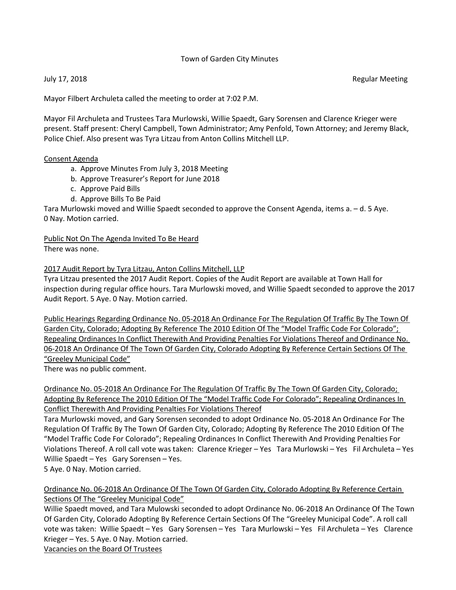## Town of Garden City Minutes

July 17, 2018 Regular Meeting

Mayor Filbert Archuleta called the meeting to order at 7:02 P.M.

Mayor Fil Archuleta and Trustees Tara Murlowski, Willie Spaedt, Gary Sorensen and Clarence Krieger were present. Staff present: Cheryl Campbell, Town Administrator; Amy Penfold, Town Attorney; and Jeremy Black, Police Chief. Also present was Tyra Litzau from Anton Collins Mitchell LLP.

## Consent Agenda

- a. Approve Minutes From July 3, 2018 Meeting
- b. Approve Treasurer's Report for June 2018
- c. Approve Paid Bills
- d. Approve Bills To Be Paid

Tara Murlowski moved and Willie Spaedt seconded to approve the Consent Agenda, items a. – d. 5 Aye. 0 Nay. Motion carried.

# Public Not On The Agenda Invited To Be Heard

There was none.

## 2017 Audit Report by Tyra Litzau, Anton Collins Mitchell, LLP

Tyra Litzau presented the 2017 Audit Report. Copies of the Audit Report are available at Town Hall for inspection during regular office hours. Tara Murlowski moved, and Willie Spaedt seconded to approve the 2017 Audit Report. 5 Aye. 0 Nay. Motion carried.

Public Hearings Regarding Ordinance No. 05-2018 An Ordinance For The Regulation Of Traffic By The Town Of Garden City, Colorado; Adopting By Reference The 2010 Edition Of The "Model Traffic Code For Colorado"; Repealing Ordinances In Conflict Therewith And Providing Penalties For Violations Thereof and Ordinance No. 06-2018 An Ordinance Of The Town Of Garden City, Colorado Adopting By Reference Certain Sections Of The "Greeley Municipal Code"

There was no public comment.

Ordinance No. 05-2018 An Ordinance For The Regulation Of Traffic By The Town Of Garden City, Colorado; Adopting By Reference The 2010 Edition Of The "Model Traffic Code For Colorado"; Repealing Ordinances In Conflict Therewith And Providing Penalties For Violations Thereof

Tara Murlowski moved, and Gary Sorensen seconded to adopt Ordinance No. 05-2018 An Ordinance For The Regulation Of Traffic By The Town Of Garden City, Colorado; Adopting By Reference The 2010 Edition Of The "Model Traffic Code For Colorado"; Repealing Ordinances In Conflict Therewith And Providing Penalties For Violations Thereof. A roll call vote was taken: Clarence Krieger – Yes Tara Murlowski – Yes Fil Archuleta – Yes Willie Spaedt – Yes Gary Sorensen – Yes.

5 Aye. 0 Nay. Motion carried.

Ordinance No. 06-2018 An Ordinance Of The Town Of Garden City, Colorado Adopting By Reference Certain Sections Of The "Greeley Municipal Code"

Willie Spaedt moved, and Tara Mulowski seconded to adopt Ordinance No. 06-2018 An Ordinance Of The Town Of Garden City, Colorado Adopting By Reference Certain Sections Of The "Greeley Municipal Code". A roll call vote was taken: Willie Spaedt – Yes Gary Sorensen – Yes Tara Murlowski – Yes Fil Archuleta – Yes Clarence Krieger – Yes. 5 Aye. 0 Nay. Motion carried.

Vacancies on the Board Of Trustees